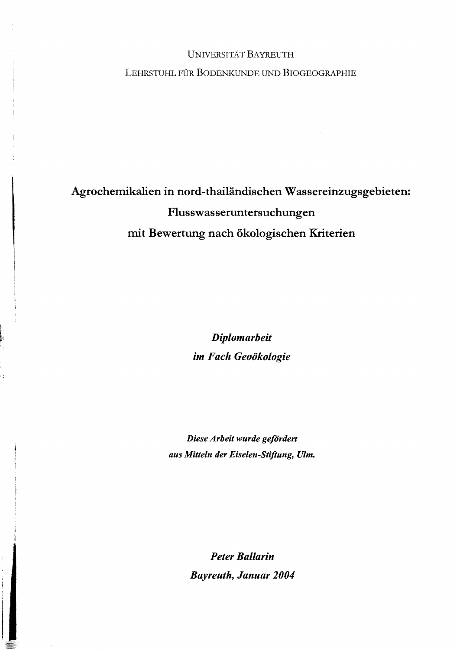## UNNERSITÄT BAYREUTH

LEHRSTUHL FÜR BODENKUNDE UND BIOGEOGRAPHIE

## Agrochemikalien in nord-thailändischen Wassereinzugsgebieten: Flusswasseruntersuchungen mit Bewertung nach ökologischen Kriterien

*Diplomarbeit im Fach Geoökologie* 

*Diese Arbeit wurde gefördert* aus Mitteln der Eiselen-Stiftung, Ulm.

> *Peter Ballarin Bayreuth, Januar 2004*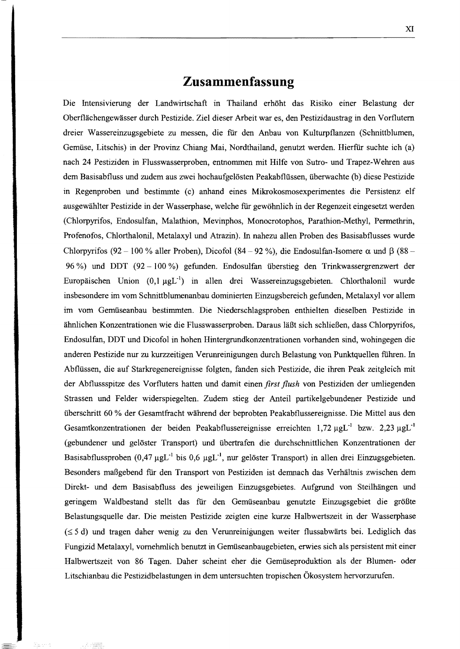## **Zusammenfassung**

Die Intensivierung der Landwirtschaft in Thailand erhöht das Risiko emer Belastung der Oberflächengewässer durch Pestizide. Ziel dieser Arbeit war es, den Pestizidaustrag in den Vorflutern dreier Wassereinzugsgebiete zu messen, die für den Anbau von Kulturpflanzen (Schnittblumen, Gemüse, Litschis) in der Provinz Chiang Mai, Nordthailand, genutzt werden. Hierftir suchte ich (a) nach 24 Pestiziden in Flusswasserproben, entnommen mit Hilfe von Sutro- und Trapez-Wehren aus dem Basisabfluss und zudem aus zwei hochaufgelösten Peakabflüssen, überwachte (b) diese Pestizide in Regenproben und bestimmte (c) anhand eines Mikrokosmosexperimentes die Persistenz elf ausgewählter Pestizide in der Wasserphase, welche für gewöhnlich in der Regenzeit eingesetzt werden (Chlorpyrifos, Endosulfan, Malathion, Mevinphos, Monocrotophos, Parathion-Methyl, Permethrin, Profenofos, Chlorthalonil, Metalaxyl und Atrazin). In nahezu allen Proben des Basisabflusses wurde Chlorpyrifos (92 - 100 % aller Proben), Dicofol (84 - 92 %), die Endosulfan-Isomere  $\alpha$  und  $\beta$  (88 -96 %) und DDT (92 100 %) gefunden. Endosulfan überstieg den Trinkwassergrenzwert der Europäischen Union  $(0,1 \mu gL^{-1})$  in allen drei Wassereinzugsgebieten. Chlorthalonil wurde insbesondere im vom Schnittblumenanbau dominierten Einzugsbereich gefunden, Metalaxyl vor allem im vom Gemüseanbau bestimmten. Die Niederschlagsproben enthielten dieselben Pestizide in ähnlichen Konzentrationen wie die Flusswasserproben. Daraus läßt sich schließen, dass Chlorpyrifos, Endosulfan, DDT und Dicofol in hohen Hintergrundkonzentrationen vorhanden sind, wohingegen die anderen Pestizide nur zu kurzzeitigen Verunreinigungen durch Belastung von Punktquellen führen. In Abflüssen, die auf Starkregenereignisse folgten, fanden sich Pestizide, die ihren Peak zeitgleich mit der Abflussspitze des Vorfluters hatten und damit einen *first flush* von Pestiziden der umliegenden Strassen und Felder widerspiegelten. Zudem stieg der Anteil partikelgebundener Pestizide und überschritt 60 % der Gesamtfracht während der beprobten Peakabflussereignisse. Die Mittel aus den Gesamtkonzentrationen der beiden Peakabflussereignisse erreichten 1,72  $\mu g L^{-1}$  bzw. 2,23  $\mu g L^{-1}$ (gebundener und gelöster Transport) und übertrafen die durchschnittlichen Konzentrationen der Basisabflussproben  $(0,47 \mu gL^{-1})$  bis  $(0,6 \mu gL^{-1})$ , nur gelöster Transport) in allen drei Einzugsgebieten. Besonders maßgebend für den Transport von Pestiziden ist demnach das Verhältnis zwischen dem Direkt- und dem Basisabfluss des jeweiligen Einzugsgebietes. Aufgrund von Steilhängen und geringem Waldbestand stellt das für den Gemüseanbau genutzte Einzugsgebiet die größte Belastungsquelle dar. Die meisten Pestizide zeigten eine kurze Halbwertszeit in der Wasserphase  $(\leq 5$  d) und tragen daher wenig zu den Verunreinigungen weiter flussabwärts bei. Lediglich das Fungizid Metalaxyl, vornehmlich benutzt in Gemüseanbaugebieten, erwies sich als persistent mit einer Halbwertszeit von 86 Tagen. Daher scheint eher die Gemüseproduktion als der Blumen- oder Litschianbau die Pestizidbelastungen in dem untersuchten tropischen Ökosystem hervorzurufen.